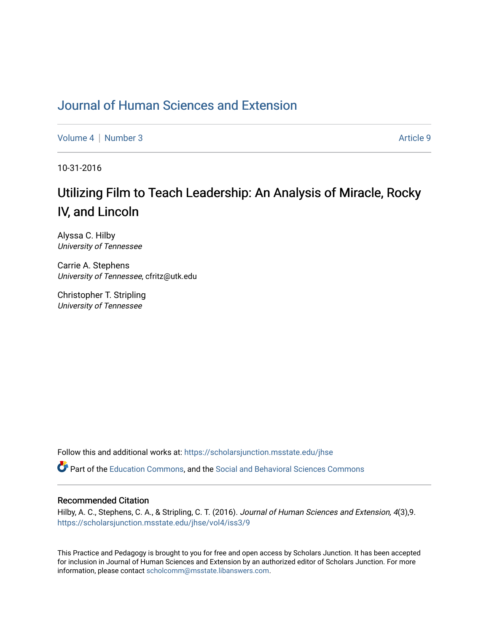## [Journal of Human Sciences and Extension](https://scholarsjunction.msstate.edu/jhse)

[Volume 4](https://scholarsjunction.msstate.edu/jhse/vol4) | [Number 3](https://scholarsjunction.msstate.edu/jhse/vol4/iss3) Article 9

10-31-2016

# Utilizing Film to Teach Leadership: An Analysis of Miracle, Rocky IV, and Lincoln

Alyssa C. Hilby University of Tennessee

Carrie A. Stephens University of Tennessee, cfritz@utk.edu

Christopher T. Stripling University of Tennessee

Follow this and additional works at: [https://scholarsjunction.msstate.edu/jhse](https://scholarsjunction.msstate.edu/jhse?utm_source=scholarsjunction.msstate.edu%2Fjhse%2Fvol4%2Fiss3%2F9&utm_medium=PDF&utm_campaign=PDFCoverPages)

Part of the [Education Commons](http://network.bepress.com/hgg/discipline/784?utm_source=scholarsjunction.msstate.edu%2Fjhse%2Fvol4%2Fiss3%2F9&utm_medium=PDF&utm_campaign=PDFCoverPages), and the [Social and Behavioral Sciences Commons](http://network.bepress.com/hgg/discipline/316?utm_source=scholarsjunction.msstate.edu%2Fjhse%2Fvol4%2Fiss3%2F9&utm_medium=PDF&utm_campaign=PDFCoverPages) 

#### Recommended Citation

Hilby, A. C., Stephens, C. A., & Stripling, C. T. (2016). Journal of Human Sciences and Extension, 4(3),9. [https://scholarsjunction.msstate.edu/jhse/vol4/iss3/9](https://scholarsjunction.msstate.edu/jhse/vol4/iss3/9?utm_source=scholarsjunction.msstate.edu%2Fjhse%2Fvol4%2Fiss3%2F9&utm_medium=PDF&utm_campaign=PDFCoverPages)

This Practice and Pedagogy is brought to you for free and open access by Scholars Junction. It has been accepted for inclusion in Journal of Human Sciences and Extension by an authorized editor of Scholars Junction. For more information, please contact [scholcomm@msstate.libanswers.com](mailto:scholcomm@msstate.libanswers.com).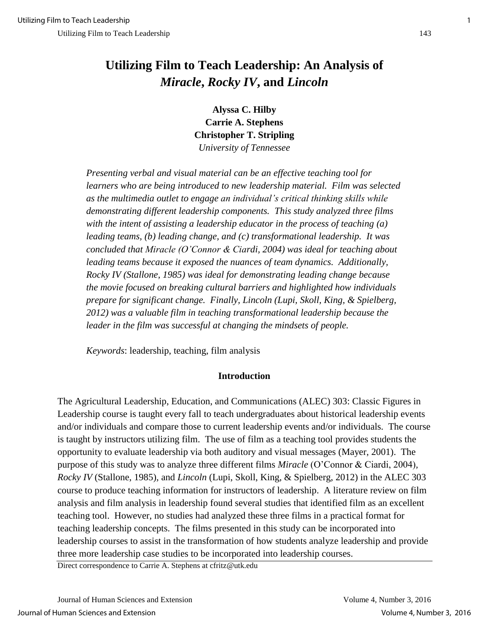## **Utilizing Film to Teach Leadership: An Analysis of**  *Miracle***,** *Rocky IV***, and** *Lincoln*

**Alyssa C. Hilby Carrie A. Stephens Christopher T. Stripling**  *University of Tennessee* 

*Presenting verbal and visual material can be an effective teaching tool for learners who are being introduced to new leadership material. Film was selected as the multimedia outlet to engage an individual's critical thinking skills while demonstrating different leadership components. This study analyzed three films with the intent of assisting a leadership educator in the process of teaching (a) leading teams, (b) leading change, and (c) transformational leadership. It was concluded that Miracle (O'Connor & Ciardi, 2004) was ideal for teaching about leading teams because it exposed the nuances of team dynamics. Additionally, Rocky IV (Stallone, 1985) was ideal for demonstrating leading change because the movie focused on breaking cultural barriers and highlighted how individuals prepare for significant change. Finally, Lincoln (Lupi, Skoll, King, & Spielberg, 2012) was a valuable film in teaching transformational leadership because the leader in the film was successful at changing the mindsets of people.*

*Keywords*: leadership, teaching, film analysis

#### **Introduction**

The Agricultural Leadership, Education, and Communications (ALEC) 303: Classic Figures in Leadership course is taught every fall to teach undergraduates about historical leadership events and/or individuals and compare those to current leadership events and/or individuals. The course is taught by instructors utilizing film. The use of film as a teaching tool provides students the opportunity to evaluate leadership via both auditory and visual messages (Mayer, 2001). The purpose of this study was to analyze three different films *Miracle* (O'Connor & Ciardi, 2004)*, Rocky IV* (Stallone, 1985)*,* and *Lincoln* (Lupi, Skoll, King, & Spielberg, 2012) in the ALEC 303 course to produce teaching information for instructors of leadership. A literature review on film analysis and film analysis in leadership found several studies that identified film as an excellent teaching tool. However, no studies had analyzed these three films in a practical format for teaching leadership concepts. The films presented in this study can be incorporated into leadership courses to assist in the transformation of how students analyze leadership and provide three more leadership case studies to be incorporated into leadership courses.

Direct correspondence to Carrie A. Stephens at cfritz@utk.edu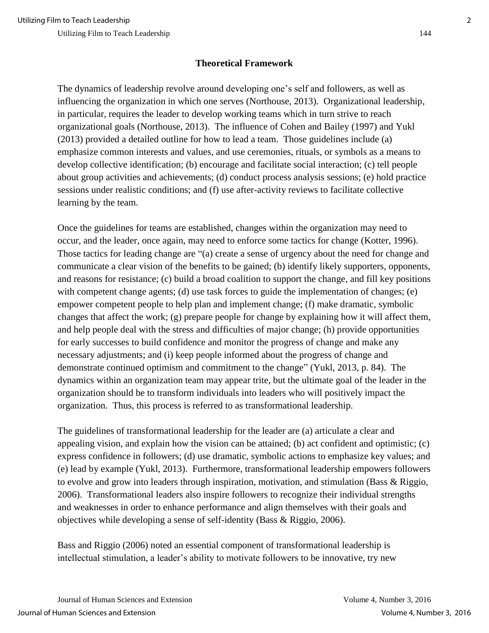## **Theoretical Framework**

The dynamics of leadership revolve around developing one's self and followers, as well as influencing the organization in which one serves (Northouse, 2013). Organizational leadership, in particular, requires the leader to develop working teams which in turn strive to reach organizational goals (Northouse, 2013). The influence of Cohen and Bailey (1997) and Yukl (2013) provided a detailed outline for how to lead a team. Those guidelines include (a) emphasize common interests and values, and use ceremonies, rituals, or symbols as a means to develop collective identification; (b) encourage and facilitate social interaction; (c) tell people about group activities and achievements; (d) conduct process analysis sessions; (e) hold practice sessions under realistic conditions; and (f) use after-activity reviews to facilitate collective learning by the team.

Once the guidelines for teams are established, changes within the organization may need to occur, and the leader, once again, may need to enforce some tactics for change (Kotter, 1996). Those tactics for leading change are "(a) create a sense of urgency about the need for change and communicate a clear vision of the benefits to be gained; (b) identify likely supporters, opponents, and reasons for resistance; (c) build a broad coalition to support the change, and fill key positions with competent change agents; (d) use task forces to guide the implementation of changes; (e) empower competent people to help plan and implement change; (f) make dramatic, symbolic changes that affect the work; (g) prepare people for change by explaining how it will affect them, and help people deal with the stress and difficulties of major change; (h) provide opportunities for early successes to build confidence and monitor the progress of change and make any necessary adjustments; and (i) keep people informed about the progress of change and demonstrate continued optimism and commitment to the change" (Yukl, 2013, p. 84). The dynamics within an organization team may appear trite, but the ultimate goal of the leader in the organization should be to transform individuals into leaders who will positively impact the organization. Thus, this process is referred to as transformational leadership.

The guidelines of transformational leadership for the leader are (a) articulate a clear and appealing vision, and explain how the vision can be attained; (b) act confident and optimistic; (c) express confidence in followers; (d) use dramatic, symbolic actions to emphasize key values; and (e) lead by example (Yukl, 2013). Furthermore, transformational leadership empowers followers to evolve and grow into leaders through inspiration, motivation, and stimulation (Bass & Riggio, 2006). Transformational leaders also inspire followers to recognize their individual strengths and weaknesses in order to enhance performance and align themselves with their goals and objectives while developing a sense of self-identity (Bass & Riggio, 2006).

Bass and Riggio (2006) noted an essential component of transformational leadership is intellectual stimulation, a leader's ability to motivate followers to be innovative, try new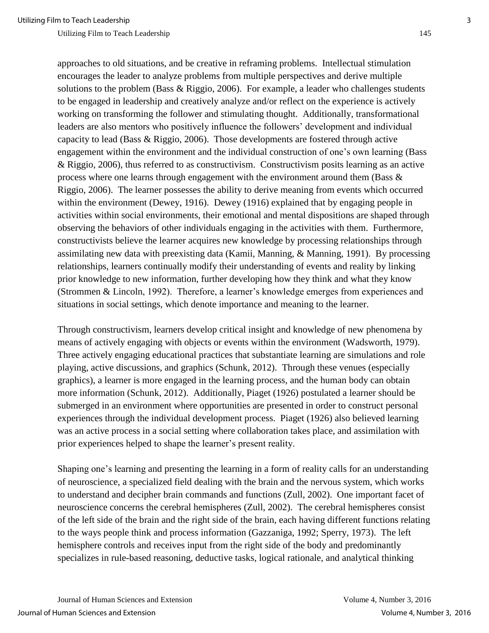approaches to old situations, and be creative in reframing problems. Intellectual stimulation encourages the leader to analyze problems from multiple perspectives and derive multiple solutions to the problem (Bass & Riggio, 2006). For example, a leader who challenges students to be engaged in leadership and creatively analyze and/or reflect on the experience is actively working on transforming the follower and stimulating thought. Additionally, transformational leaders are also mentors who positively influence the followers' development and individual capacity to lead (Bass & Riggio, 2006). Those developments are fostered through active engagement within the environment and the individual construction of one's own learning (Bass & Riggio, 2006), thus referred to as constructivism. Constructivism posits learning as an active process where one learns through engagement with the environment around them (Bass & Riggio, 2006). The learner possesses the ability to derive meaning from events which occurred within the environment (Dewey, 1916). Dewey (1916) explained that by engaging people in activities within social environments, their emotional and mental dispositions are shaped through observing the behaviors of other individuals engaging in the activities with them. Furthermore, constructivists believe the learner acquires new knowledge by processing relationships through assimilating new data with preexisting data (Kamii, Manning, & Manning, 1991). By processing relationships, learners continually modify their understanding of events and reality by linking prior knowledge to new information, further developing how they think and what they know (Strommen & Lincoln, 1992). Therefore, a learner's knowledge emerges from experiences and situations in social settings, which denote importance and meaning to the learner.

Through constructivism, learners develop critical insight and knowledge of new phenomena by means of actively engaging with objects or events within the environment (Wadsworth, 1979). Three actively engaging educational practices that substantiate learning are simulations and role playing, active discussions, and graphics (Schunk, 2012). Through these venues (especially graphics), a learner is more engaged in the learning process, and the human body can obtain more information (Schunk, 2012). Additionally, Piaget (1926) postulated a learner should be submerged in an environment where opportunities are presented in order to construct personal experiences through the individual development process. Piaget (1926) also believed learning was an active process in a social setting where collaboration takes place, and assimilation with prior experiences helped to shape the learner's present reality.

Shaping one's learning and presenting the learning in a form of reality calls for an understanding of neuroscience, a specialized field dealing with the brain and the nervous system, which works to understand and decipher brain commands and functions (Zull, 2002). One important facet of neuroscience concerns the cerebral hemispheres (Zull, 2002). The cerebral hemispheres consist of the left side of the brain and the right side of the brain, each having different functions relating to the ways people think and process information (Gazzaniga, 1992; Sperry, 1973). The left hemisphere controls and receives input from the right side of the body and predominantly specializes in rule-based reasoning, deductive tasks, logical rationale, and analytical thinking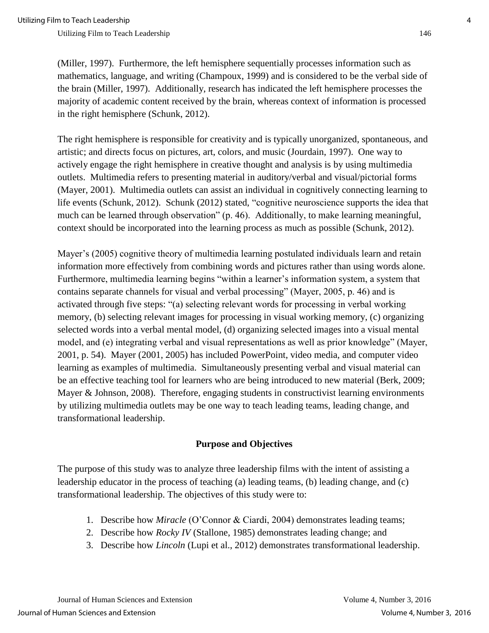(Miller, 1997). Furthermore, the left hemisphere sequentially processes information such as mathematics, language, and writing (Champoux, 1999) and is considered to be the verbal side of the brain (Miller, 1997). Additionally, research has indicated the left hemisphere processes the majority of academic content received by the brain, whereas context of information is processed in the right hemisphere (Schunk, 2012).

The right hemisphere is responsible for creativity and is typically unorganized, spontaneous, and artistic; and directs focus on pictures, art, colors, and music (Jourdain, 1997). One way to actively engage the right hemisphere in creative thought and analysis is by using multimedia outlets. Multimedia refers to presenting material in auditory/verbal and visual/pictorial forms (Mayer, 2001). Multimedia outlets can assist an individual in cognitively connecting learning to life events (Schunk, 2012). Schunk (2012) stated, "cognitive neuroscience supports the idea that much can be learned through observation" (p. 46). Additionally, to make learning meaningful, context should be incorporated into the learning process as much as possible (Schunk, 2012).

Mayer's (2005) cognitive theory of multimedia learning postulated individuals learn and retain information more effectively from combining words and pictures rather than using words alone. Furthermore, multimedia learning begins "within a learner's information system, a system that contains separate channels for visual and verbal processing" (Mayer, 2005, p. 46) and is activated through five steps: "(a) selecting relevant words for processing in verbal working memory, (b) selecting relevant images for processing in visual working memory, (c) organizing selected words into a verbal mental model, (d) organizing selected images into a visual mental model, and (e) integrating verbal and visual representations as well as prior knowledge" (Mayer, 2001, p. 54). Mayer (2001, 2005) has included PowerPoint, video media, and computer video learning as examples of multimedia. Simultaneously presenting verbal and visual material can be an effective teaching tool for learners who are being introduced to new material (Berk, 2009; Mayer & Johnson, 2008). Therefore, engaging students in constructivist learning environments by utilizing multimedia outlets may be one way to teach leading teams, leading change, and transformational leadership.

#### **Purpose and Objectives**

The purpose of this study was to analyze three leadership films with the intent of assisting a leadership educator in the process of teaching (a) leading teams, (b) leading change, and (c) transformational leadership. The objectives of this study were to:

- 1. Describe how *Miracle* (O'Connor & Ciardi, 2004) demonstrates leading teams;
- 2. Describe how *Rocky IV* (Stallone, 1985) demonstrates leading change; and
- 3. Describe how *Lincoln* (Lupi et al., 2012) demonstrates transformational leadership.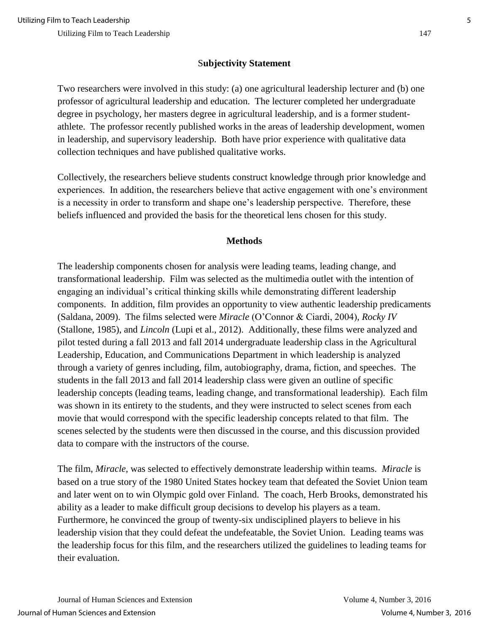### S**ubjectivity Statement**

Two researchers were involved in this study: (a) one agricultural leadership lecturer and (b) one professor of agricultural leadership and education. The lecturer completed her undergraduate degree in psychology, her masters degree in agricultural leadership, and is a former studentathlete. The professor recently published works in the areas of leadership development, women in leadership, and supervisory leadership. Both have prior experience with qualitative data collection techniques and have published qualitative works.

Collectively, the researchers believe students construct knowledge through prior knowledge and experiences. In addition, the researchers believe that active engagement with one's environment is a necessity in order to transform and shape one's leadership perspective. Therefore, these beliefs influenced and provided the basis for the theoretical lens chosen for this study.

#### **Methods**

The leadership components chosen for analysis were leading teams, leading change, and transformational leadership. Film was selected as the multimedia outlet with the intention of engaging an individual's critical thinking skills while demonstrating different leadership components. In addition, film provides an opportunity to view authentic leadership predicaments (Saldana, 2009). The films selected were *Miracle* (O'Connor & Ciardi, 2004)*, Rocky IV*  (Stallone, 1985), and *Lincoln* (Lupi et al., 2012). Additionally, these films were analyzed and pilot tested during a fall 2013 and fall 2014 undergraduate leadership class in the Agricultural Leadership, Education, and Communications Department in which leadership is analyzed through a variety of genres including, film, autobiography, drama, fiction, and speeches. The students in the fall 2013 and fall 2014 leadership class were given an outline of specific leadership concepts (leading teams, leading change, and transformational leadership). Each film was shown in its entirety to the students, and they were instructed to select scenes from each movie that would correspond with the specific leadership concepts related to that film. The scenes selected by the students were then discussed in the course, and this discussion provided data to compare with the instructors of the course.

The film, *Miracle*, was selected to effectively demonstrate leadership within teams. *Miracle* is based on a true story of the 1980 United States hockey team that defeated the Soviet Union team and later went on to win Olympic gold over Finland. The coach, Herb Brooks, demonstrated his ability as a leader to make difficult group decisions to develop his players as a team. Furthermore, he convinced the group of twenty-six undisciplined players to believe in his leadership vision that they could defeat the undefeatable, the Soviet Union. Leading teams was the leadership focus for this film, and the researchers utilized the guidelines to leading teams for their evaluation.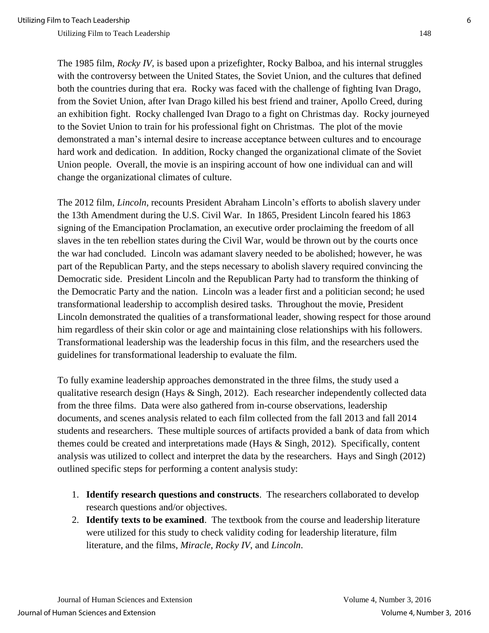The 1985 film, *Rocky IV,* is based upon a prizefighter, Rocky Balboa, and his internal struggles with the controversy between the United States, the Soviet Union, and the cultures that defined both the countries during that era. Rocky was faced with the challenge of fighting Ivan Drago, from the Soviet Union, after Ivan Drago killed his best friend and trainer, Apollo Creed, during an exhibition fight. Rocky challenged Ivan Drago to a fight on Christmas day. Rocky journeyed to the Soviet Union to train for his professional fight on Christmas. The plot of the movie demonstrated a man's internal desire to increase acceptance between cultures and to encourage hard work and dedication. In addition, Rocky changed the organizational climate of the Soviet Union people. Overall, the movie is an inspiring account of how one individual can and will change the organizational climates of culture.

The 2012 film, *Lincoln*, recounts President Abraham Lincoln's efforts to abolish slavery under the 13th Amendment during the U.S. Civil War. In 1865, President Lincoln feared his 1863 signing of the Emancipation Proclamation, an executive order proclaiming the freedom of all slaves in the ten rebellion states during the Civil War, would be thrown out by the courts once the war had concluded. Lincoln was adamant slavery needed to be abolished; however, he was part of the Republican Party, and the steps necessary to abolish slavery required convincing the Democratic side. President Lincoln and the Republican Party had to transform the thinking of the Democratic Party and the nation. Lincoln was a leader first and a politician second; he used transformational leadership to accomplish desired tasks. Throughout the movie, President Lincoln demonstrated the qualities of a transformational leader, showing respect for those around him regardless of their skin color or age and maintaining close relationships with his followers. Transformational leadership was the leadership focus in this film, and the researchers used the guidelines for transformational leadership to evaluate the film.

To fully examine leadership approaches demonstrated in the three films, the study used a qualitative research design (Hays & Singh, 2012). Each researcher independently collected data from the three films. Data were also gathered from in-course observations, leadership documents, and scenes analysis related to each film collected from the fall 2013 and fall 2014 students and researchers. These multiple sources of artifacts provided a bank of data from which themes could be created and interpretations made (Hays & Singh, 2012). Specifically, content analysis was utilized to collect and interpret the data by the researchers. Hays and Singh (2012) outlined specific steps for performing a content analysis study:

- 1. **Identify research questions and constructs**. The researchers collaborated to develop research questions and/or objectives.
- 2. **Identify texts to be examined**. The textbook from the course and leadership literature were utilized for this study to check validity coding for leadership literature, film literature, and the films, *Miracle*, *Rocky IV*, and *Lincoln*.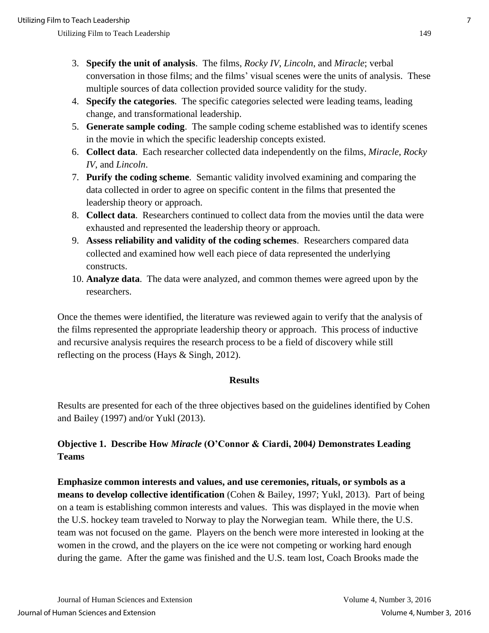- 3. **Specify the unit of analysis**. The films, *Rocky IV*, *Lincoln*, and *Miracle*; verbal conversation in those films; and the films' visual scenes were the units of analysis. These multiple sources of data collection provided source validity for the study.
- 4. **Specify the categories**. The specific categories selected were leading teams, leading change, and transformational leadership.
- 5. **Generate sample coding**. The sample coding scheme established was to identify scenes in the movie in which the specific leadership concepts existed.
- 6. **Collect data**. Each researcher collected data independently on the films, *Miracle*, *Rocky IV*, and *Lincoln*.
- 7. **Purify the coding scheme**. Semantic validity involved examining and comparing the data collected in order to agree on specific content in the films that presented the leadership theory or approach.
- 8. **Collect data**. Researchers continued to collect data from the movies until the data were exhausted and represented the leadership theory or approach.
- 9. **Assess reliability and validity of the coding schemes**. Researchers compared data collected and examined how well each piece of data represented the underlying constructs.
- 10. **Analyze data**. The data were analyzed, and common themes were agreed upon by the researchers.

Once the themes were identified, the literature was reviewed again to verify that the analysis of the films represented the appropriate leadership theory or approach. This process of inductive and recursive analysis requires the research process to be a field of discovery while still reflecting on the process (Hays & Singh, 2012).

#### **Results**

Results are presented for each of the three objectives based on the guidelines identified by Cohen and Bailey (1997) and/or Yukl (2013).

## **Objective 1. Describe How** *Miracle* **(O'Connor & Ciardi, 2004***)* **Demonstrates Leading Teams**

**Emphasize common interests and values, and use ceremonies, rituals, or symbols as a means to develop collective identification** (Cohen & Bailey, 1997; Yukl, 2013). Part of being on a team is establishing common interests and values. This was displayed in the movie when the U.S. hockey team traveled to Norway to play the Norwegian team. While there, the U.S. team was not focused on the game. Players on the bench were more interested in looking at the women in the crowd, and the players on the ice were not competing or working hard enough during the game. After the game was finished and the U.S. team lost, Coach Brooks made the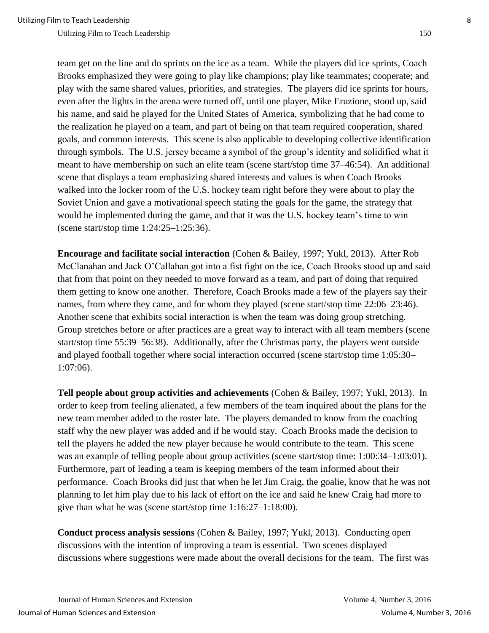team get on the line and do sprints on the ice as a team. While the players did ice sprints, Coach Brooks emphasized they were going to play like champions; play like teammates; cooperate; and play with the same shared values, priorities, and strategies. The players did ice sprints for hours, even after the lights in the arena were turned off, until one player, Mike Eruzione, stood up, said his name, and said he played for the United States of America, symbolizing that he had come to the realization he played on a team, and part of being on that team required cooperation, shared goals, and common interests. This scene is also applicable to developing collective identification through symbols. The U.S. jersey became a symbol of the group's identity and solidified what it meant to have membership on such an elite team (scene start/stop time 37–46:54). An additional scene that displays a team emphasizing shared interests and values is when Coach Brooks walked into the locker room of the U.S. hockey team right before they were about to play the Soviet Union and gave a motivational speech stating the goals for the game, the strategy that would be implemented during the game, and that it was the U.S. hockey team's time to win (scene start/stop time 1:24:25–1:25:36).

**Encourage and facilitate social interaction** (Cohen & Bailey, 1997; Yukl, 2013). After Rob McClanahan and Jack O'Callahan got into a fist fight on the ice, Coach Brooks stood up and said that from that point on they needed to move forward as a team, and part of doing that required them getting to know one another. Therefore, Coach Brooks made a few of the players say their names, from where they came, and for whom they played (scene start/stop time 22:06–23:46). Another scene that exhibits social interaction is when the team was doing group stretching. Group stretches before or after practices are a great way to interact with all team members (scene start/stop time 55:39–56:38). Additionally, after the Christmas party, the players went outside and played football together where social interaction occurred (scene start/stop time 1:05:30– 1:07:06).

**Tell people about group activities and achievements** (Cohen & Bailey, 1997; Yukl, 2013). In order to keep from feeling alienated, a few members of the team inquired about the plans for the new team member added to the roster late. The players demanded to know from the coaching staff why the new player was added and if he would stay. Coach Brooks made the decision to tell the players he added the new player because he would contribute to the team. This scene was an example of telling people about group activities (scene start/stop time: 1:00:34–1:03:01). Furthermore, part of leading a team is keeping members of the team informed about their performance. Coach Brooks did just that when he let Jim Craig, the goalie, know that he was not planning to let him play due to his lack of effort on the ice and said he knew Craig had more to give than what he was (scene start/stop time 1:16:27–1:18:00).

**Conduct process analysis sessions** (Cohen & Bailey, 1997; Yukl, 2013). Conducting open discussions with the intention of improving a team is essential. Two scenes displayed discussions where suggestions were made about the overall decisions for the team. The first was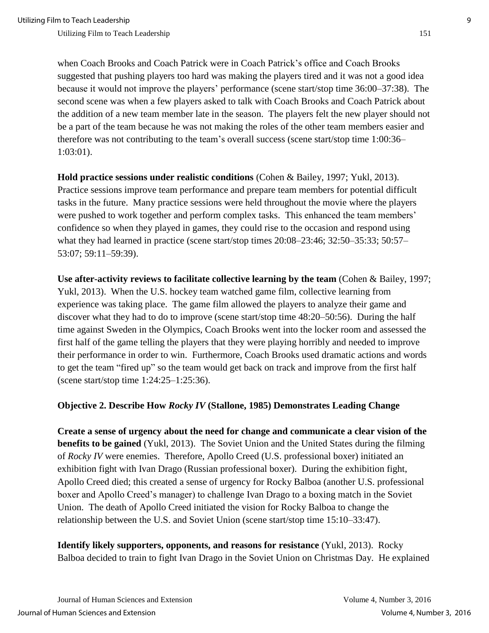when Coach Brooks and Coach Patrick were in Coach Patrick's office and Coach Brooks suggested that pushing players too hard was making the players tired and it was not a good idea because it would not improve the players' performance (scene start/stop time 36:00–37:38). The second scene was when a few players asked to talk with Coach Brooks and Coach Patrick about the addition of a new team member late in the season. The players felt the new player should not be a part of the team because he was not making the roles of the other team members easier and therefore was not contributing to the team's overall success (scene start/stop time 1:00:36– 1:03:01).

**Hold practice sessions under realistic conditions** (Cohen & Bailey, 1997; Yukl, 2013). Practice sessions improve team performance and prepare team members for potential difficult tasks in the future. Many practice sessions were held throughout the movie where the players were pushed to work together and perform complex tasks. This enhanced the team members' confidence so when they played in games, they could rise to the occasion and respond using what they had learned in practice (scene start/stop times 20:08–23:46; 32:50–35:33; 50:57– 53:07; 59:11–59:39).

**Use after-activity reviews to facilitate collective learning by the team** (Cohen & Bailey, 1997; Yukl, 2013). When the U.S. hockey team watched game film, collective learning from experience was taking place. The game film allowed the players to analyze their game and discover what they had to do to improve (scene start/stop time 48:20–50:56). During the half time against Sweden in the Olympics, Coach Brooks went into the locker room and assessed the first half of the game telling the players that they were playing horribly and needed to improve their performance in order to win. Furthermore, Coach Brooks used dramatic actions and words to get the team "fired up" so the team would get back on track and improve from the first half (scene start/stop time 1:24:25–1:25:36).

#### **Objective 2. Describe How** *Rocky IV* **(Stallone, 1985) Demonstrates Leading Change**

**Create a sense of urgency about the need for change and communicate a clear vision of the benefits to be gained** (Yukl, 2013). The Soviet Union and the United States during the filming of *Rocky IV* were enemies. Therefore, Apollo Creed (U.S. professional boxer) initiated an exhibition fight with Ivan Drago (Russian professional boxer). During the exhibition fight, Apollo Creed died; this created a sense of urgency for Rocky Balboa (another U.S. professional boxer and Apollo Creed's manager) to challenge Ivan Drago to a boxing match in the Soviet Union. The death of Apollo Creed initiated the vision for Rocky Balboa to change the relationship between the U.S. and Soviet Union (scene start/stop time 15:10–33:47).

**Identify likely supporters, opponents, and reasons for resistance** (Yukl, 2013). Rocky Balboa decided to train to fight Ivan Drago in the Soviet Union on Christmas Day. He explained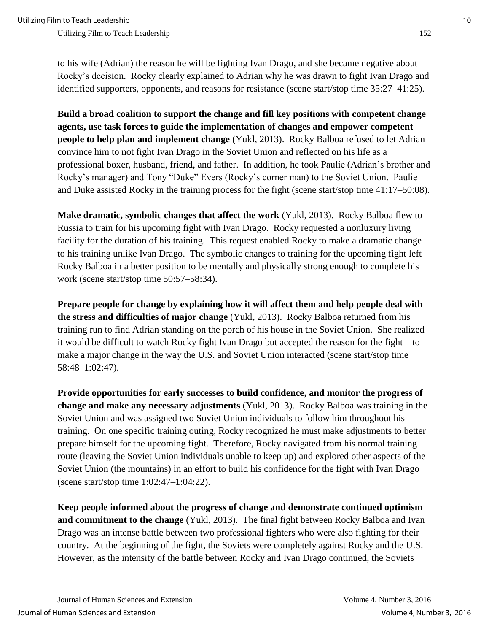to his wife (Adrian) the reason he will be fighting Ivan Drago, and she became negative about Rocky's decision. Rocky clearly explained to Adrian why he was drawn to fight Ivan Drago and identified supporters, opponents, and reasons for resistance (scene start/stop time 35:27–41:25).

**Build a broad coalition to support the change and fill key positions with competent change agents, use task forces to guide the implementation of changes and empower competent people to help plan and implement change** (Yukl, 2013). Rocky Balboa refused to let Adrian convince him to not fight Ivan Drago in the Soviet Union and reflected on his life as a professional boxer, husband, friend, and father. In addition, he took Paulie (Adrian's brother and Rocky's manager) and Tony "Duke" Evers (Rocky's corner man) to the Soviet Union. Paulie and Duke assisted Rocky in the training process for the fight (scene start/stop time 41:17–50:08).

**Make dramatic, symbolic changes that affect the work** (Yukl, 2013). Rocky Balboa flew to Russia to train for his upcoming fight with Ivan Drago. Rocky requested a nonluxury living facility for the duration of his training. This request enabled Rocky to make a dramatic change to his training unlike Ivan Drago. The symbolic changes to training for the upcoming fight left Rocky Balboa in a better position to be mentally and physically strong enough to complete his work (scene start/stop time 50:57–58:34).

**Prepare people for change by explaining how it will affect them and help people deal with the stress and difficulties of major change** (Yukl, 2013). Rocky Balboa returned from his training run to find Adrian standing on the porch of his house in the Soviet Union. She realized it would be difficult to watch Rocky fight Ivan Drago but accepted the reason for the fight – to make a major change in the way the U.S. and Soviet Union interacted (scene start/stop time 58:48–1:02:47).

**Provide opportunities for early successes to build confidence, and monitor the progress of change and make any necessary adjustments** (Yukl, 2013). Rocky Balboa was training in the Soviet Union and was assigned two Soviet Union individuals to follow him throughout his training. On one specific training outing, Rocky recognized he must make adjustments to better prepare himself for the upcoming fight. Therefore, Rocky navigated from his normal training route (leaving the Soviet Union individuals unable to keep up) and explored other aspects of the Soviet Union (the mountains) in an effort to build his confidence for the fight with Ivan Drago (scene start/stop time 1:02:47–1:04:22).

**Keep people informed about the progress of change and demonstrate continued optimism and commitment to the change** (Yukl, 2013). The final fight between Rocky Balboa and Ivan Drago was an intense battle between two professional fighters who were also fighting for their country. At the beginning of the fight, the Soviets were completely against Rocky and the U.S. However, as the intensity of the battle between Rocky and Ivan Drago continued, the Soviets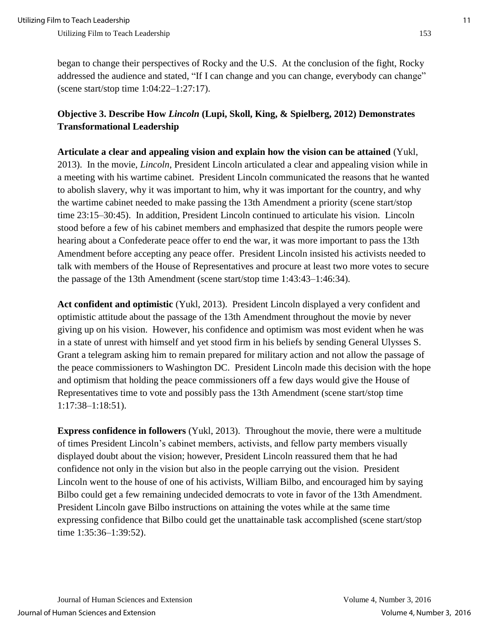began to change their perspectives of Rocky and the U.S. At the conclusion of the fight, Rocky addressed the audience and stated, "If I can change and you can change, everybody can change" (scene start/stop time 1:04:22–1:27:17).

## **Objective 3. Describe How** *Lincoln* **(Lupi, Skoll, King, & Spielberg, 2012) Demonstrates Transformational Leadership**

**Articulate a clear and appealing vision and explain how the vision can be attained** (Yukl, 2013). In the movie, *Lincoln*, President Lincoln articulated a clear and appealing vision while in a meeting with his wartime cabinet. President Lincoln communicated the reasons that he wanted to abolish slavery, why it was important to him, why it was important for the country, and why the wartime cabinet needed to make passing the 13th Amendment a priority (scene start/stop time 23:15–30:45). In addition, President Lincoln continued to articulate his vision. Lincoln stood before a few of his cabinet members and emphasized that despite the rumors people were hearing about a Confederate peace offer to end the war, it was more important to pass the 13th Amendment before accepting any peace offer. President Lincoln insisted his activists needed to talk with members of the House of Representatives and procure at least two more votes to secure the passage of the 13th Amendment (scene start/stop time 1:43:43–1:46:34).

**Act confident and optimistic** (Yukl, 2013). President Lincoln displayed a very confident and optimistic attitude about the passage of the 13th Amendment throughout the movie by never giving up on his vision. However, his confidence and optimism was most evident when he was in a state of unrest with himself and yet stood firm in his beliefs by sending General Ulysses S. Grant a telegram asking him to remain prepared for military action and not allow the passage of the peace commissioners to Washington DC. President Lincoln made this decision with the hope and optimism that holding the peace commissioners off a few days would give the House of Representatives time to vote and possibly pass the 13th Amendment (scene start/stop time 1:17:38–1:18:51).

**Express confidence in followers** (Yukl, 2013). Throughout the movie, there were a multitude of times President Lincoln's cabinet members, activists, and fellow party members visually displayed doubt about the vision; however, President Lincoln reassured them that he had confidence not only in the vision but also in the people carrying out the vision. President Lincoln went to the house of one of his activists, William Bilbo, and encouraged him by saying Bilbo could get a few remaining undecided democrats to vote in favor of the 13th Amendment. President Lincoln gave Bilbo instructions on attaining the votes while at the same time expressing confidence that Bilbo could get the unattainable task accomplished (scene start/stop time 1:35:36–1:39:52).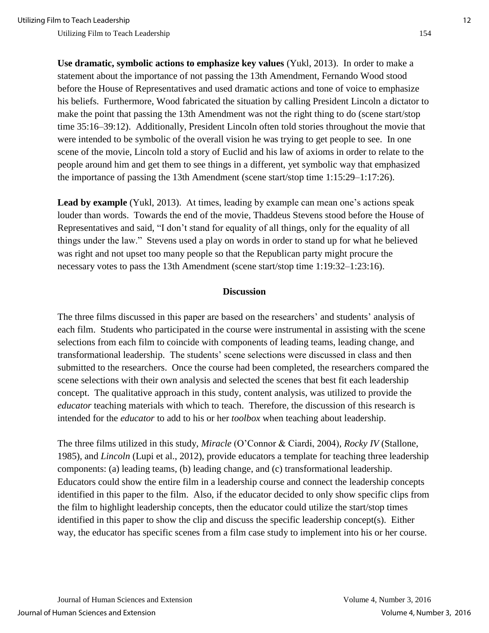**Use dramatic, symbolic actions to emphasize key values** (Yukl, 2013). In order to make a statement about the importance of not passing the 13th Amendment, Fernando Wood stood before the House of Representatives and used dramatic actions and tone of voice to emphasize his beliefs. Furthermore, Wood fabricated the situation by calling President Lincoln a dictator to make the point that passing the 13th Amendment was not the right thing to do (scene start/stop time 35:16–39:12). Additionally, President Lincoln often told stories throughout the movie that were intended to be symbolic of the overall vision he was trying to get people to see. In one scene of the movie, Lincoln told a story of Euclid and his law of axioms in order to relate to the people around him and get them to see things in a different, yet symbolic way that emphasized the importance of passing the 13th Amendment (scene start/stop time 1:15:29–1:17:26).

**Lead by example** (Yukl, 2013). At times, leading by example can mean one's actions speak louder than words. Towards the end of the movie, Thaddeus Stevens stood before the House of Representatives and said, "I don't stand for equality of all things, only for the equality of all things under the law." Stevens used a play on words in order to stand up for what he believed was right and not upset too many people so that the Republican party might procure the necessary votes to pass the 13th Amendment (scene start/stop time 1:19:32–1:23:16).

#### **Discussion**

The three films discussed in this paper are based on the researchers' and students' analysis of each film. Students who participated in the course were instrumental in assisting with the scene selections from each film to coincide with components of leading teams, leading change, and transformational leadership. The students' scene selections were discussed in class and then submitted to the researchers. Once the course had been completed, the researchers compared the scene selections with their own analysis and selected the scenes that best fit each leadership concept. The qualitative approach in this study, content analysis, was utilized to provide the *educator* teaching materials with which to teach. Therefore, the discussion of this research is intended for the *educator* to add to his or her *toolbox* when teaching about leadership.

The three films utilized in this study, *Miracle* (O'Connor & Ciardi, 2004)*, Rocky IV* (Stallone, 1985)*,* and *Lincoln* (Lupi et al., 2012), provide educators a template for teaching three leadership components: (a) leading teams, (b) leading change, and (c) transformational leadership. Educators could show the entire film in a leadership course and connect the leadership concepts identified in this paper to the film. Also, if the educator decided to only show specific clips from the film to highlight leadership concepts, then the educator could utilize the start/stop times identified in this paper to show the clip and discuss the specific leadership concept(s). Either way, the educator has specific scenes from a film case study to implement into his or her course.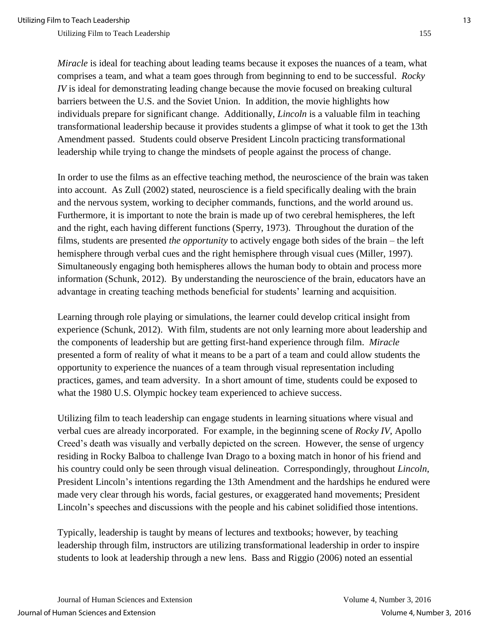*Miracle* is ideal for teaching about leading teams because it exposes the nuances of a team, what comprises a team, and what a team goes through from beginning to end to be successful. *Rocky IV* is ideal for demonstrating leading change because the movie focused on breaking cultural barriers between the U.S. and the Soviet Union. In addition, the movie highlights how individuals prepare for significant change. Additionally, *Lincoln* is a valuable film in teaching transformational leadership because it provides students a glimpse of what it took to get the 13th Amendment passed. Students could observe President Lincoln practicing transformational leadership while trying to change the mindsets of people against the process of change.

In order to use the films as an effective teaching method, the neuroscience of the brain was taken into account. As Zull (2002) stated, neuroscience is a field specifically dealing with the brain and the nervous system, working to decipher commands, functions, and the world around us. Furthermore, it is important to note the brain is made up of two cerebral hemispheres, the left and the right, each having different functions (Sperry, 1973). Throughout the duration of the films, students are presented *the opportunity* to actively engage both sides of the brain – the left hemisphere through verbal cues and the right hemisphere through visual cues (Miller, 1997). Simultaneously engaging both hemispheres allows the human body to obtain and process more information (Schunk, 2012). By understanding the neuroscience of the brain, educators have an advantage in creating teaching methods beneficial for students' learning and acquisition.

Learning through role playing or simulations, the learner could develop critical insight from experience (Schunk, 2012). With film, students are not only learning more about leadership and the components of leadership but are getting first-hand experience through film. *Miracle*  presented a form of reality of what it means to be a part of a team and could allow students the opportunity to experience the nuances of a team through visual representation including practices, games, and team adversity. In a short amount of time, students could be exposed to what the 1980 U.S. Olympic hockey team experienced to achieve success.

Utilizing film to teach leadership can engage students in learning situations where visual and verbal cues are already incorporated. For example, in the beginning scene of *Rocky IV*, Apollo Creed's death was visually and verbally depicted on the screen. However, the sense of urgency residing in Rocky Balboa to challenge Ivan Drago to a boxing match in honor of his friend and his country could only be seen through visual delineation. Correspondingly, throughout *Lincoln*, President Lincoln's intentions regarding the 13th Amendment and the hardships he endured were made very clear through his words, facial gestures, or exaggerated hand movements; President Lincoln's speeches and discussions with the people and his cabinet solidified those intentions.

Typically, leadership is taught by means of lectures and textbooks; however, by teaching leadership through film, instructors are utilizing transformational leadership in order to inspire students to look at leadership through a new lens. Bass and Riggio (2006) noted an essential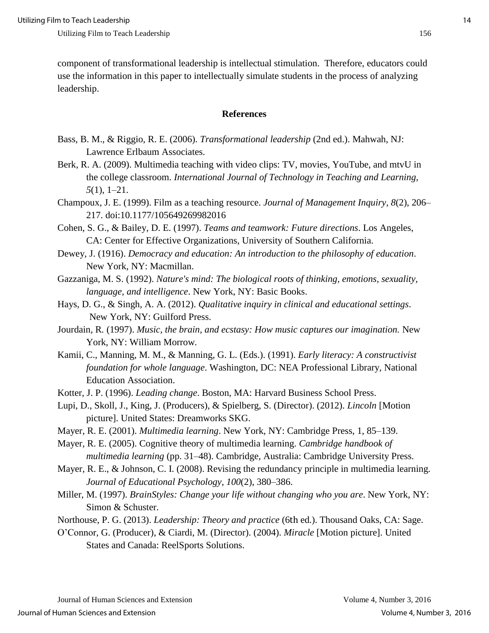component of transformational leadership is intellectual stimulation. Therefore, educators could use the information in this paper to intellectually simulate students in the process of analyzing leadership.

#### **References**

- Bass, B. M., & Riggio, R. E. (2006). *Transformational leadership* (2nd ed.). Mahwah, NJ: Lawrence Erlbaum Associates.
- Berk, R. A. (2009). Multimedia teaching with video clips: TV, movies, YouTube, and mtvU in the college classroom. *International Journal of Technology in Teaching and Learning, 5*(1), 1–21.
- Champoux, J. E. (1999). Film as a teaching resource. *Journal of Management Inquiry, 8*(2), 206– 217. doi:10.1177/105649269982016
- Cohen, S. G., & Bailey, D. E. (1997). *Teams and teamwork: Future directions*. Los Angeles, CA: Center for Effective Organizations, University of Southern California.
- Dewey, J. (1916). *Democracy and education: An introduction to the philosophy of education*. New York, NY: Macmillan.
- Gazzaniga, M. S. (1992). *Nature's mind: The biological roots of thinking, emotions, sexuality, language, and intelligence*. New York, NY: Basic Books.
- Hays, D. G., & Singh, A. A. (2012). *Qualitative inquiry in clinical and educational settings*. New York, NY: Guilford Press.
- Jourdain*,* R*.* (1997). *Music, the brain, and ecstasy: How music captures our imagination.* New York, NY: William Morrow*.*
- Kamii, C., Manning, M. M., & Manning, G. L. (Eds.). (1991). *Early literacy: A constructivist foundation for whole language*. Washington, DC: NEA Professional Library, National Education Association.
- Kotter, J. P. (1996). *Leading change*. Boston, MA: Harvard Business School Press.
- Lupi, D., Skoll, J., King, J. (Producers), & Spielberg, S. (Director). (2012). *Lincoln* [Motion picture]. United States: Dreamworks SKG.
- Mayer, R. E. (2001). *Multimedia learning*. New York, NY: Cambridge Press, 1, 85–139.
- Mayer, R. E. (2005). Cognitive theory of multimedia learning. *Cambridge handbook of multimedia learning* (pp. 31–48). Cambridge, Australia: Cambridge University Press.
- Mayer, R. E., & Johnson, C. I. (2008). Revising the redundancy principle in multimedia learning. *Journal of Educational Psychology*, *100*(2), 380–386.
- Miller, M. (1997). *BrainStyles: Change your life without changing who you are*. New York, NY: Simon & Schuster.
- Northouse, P. G. (2013). *Leadership: Theory and practice* (6th ed.). Thousand Oaks, CA: Sage.
- O'Connor, G. (Producer), & Ciardi, M. (Director). (2004). *Miracle* [Motion picture]. United States and Canada: ReelSports Solutions.